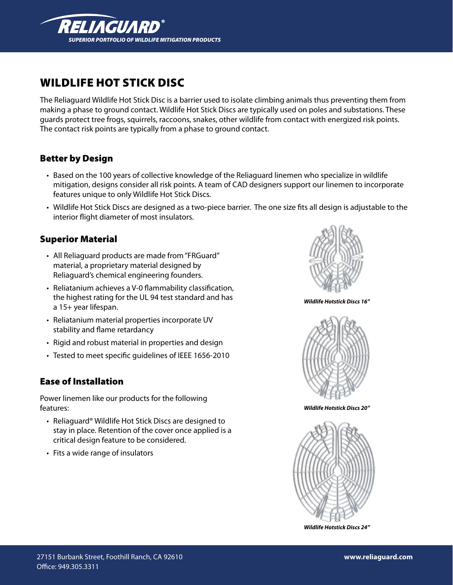

# Wildlife Hot Stick diSc

The Reliaguard Wildlife Hot Stick Disc is a barrier used to isolate climbing animals thus preventing them from making a phase to ground contact. Wildlife Hot Stick Discs are typically used on poles and substations. These guards protect tree frogs, squirrels, raccoons, snakes, other wildlife from contact with energized risk points. The contact risk points are typically from a phase to ground contact.

## **Better by Design**

- • Based on the 100 years of collective knowledge of the Reliaguard linemen who specialize in wildlife mitigation, designs consider all risk points. A team of CAD designers support our linemen to incorporate features unique to only Wildlife Hot Stick Discs.
- Wildlife Hot Stick Discs are designed as a two-piece barrier. The one size fits all design is adjustable to the interior flight diameter of most insulators.

#### Superior Material

- All Reliaguard products are made from "FRGuard" material, a proprietary material designed by Reliaguard's chemical engineering founders.
- Reliatanium achieves a V-0 flammability classification, the highest rating for the UL 94 test standard and has a 15+ year lifespan.
- Reliatanium material properties incorporate UV stability and flame retardancy
- Rigid and robust material in properties and design
- Tested to meet specific guidelines of IEEE 1656-2010

#### **Ease of Installation**

Power linemen like our products for the following features:

- Reliaguard® Wildlife Hot Stick Discs are designed to stay in place. Retention of the cover once applied is a critical design feature to be considered.
- Fits a wide range of insulators



*Wildlife Hotstick Discs 16"*



*Wildlife Hotstick Discs 20"*



*Wildlife Hotstick Discs 24"*